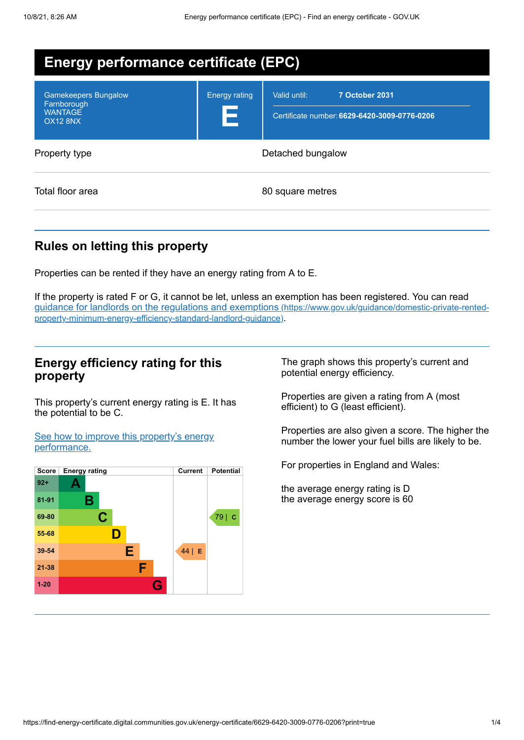| <b>Energy performance certificate (EPC)</b>                              |                           |                                                                                |  |  |  |
|--------------------------------------------------------------------------|---------------------------|--------------------------------------------------------------------------------|--|--|--|
| <b>Gamekeepers Bungalow</b><br>Farnborough<br><b>WANTAGE</b><br>OX12 8NX | <b>Energy rating</b><br>E | Valid until:<br>7 October 2031<br>Certificate number: 6629-6420-3009-0776-0206 |  |  |  |
| Property type                                                            | Detached bungalow         |                                                                                |  |  |  |
| Total floor area                                                         | 80 square metres          |                                                                                |  |  |  |

## **Rules on letting this property**

Properties can be rented if they have an energy rating from A to E.

If the property is rated F or G, it cannot be let, unless an exemption has been registered. You can read guidance for landlords on the regulations and exemptions (https://www.gov.uk/guidance/domestic-private-rented[property-minimum-energy-efficiency-standard-landlord-guidance\)](https://www.gov.uk/guidance/domestic-private-rented-property-minimum-energy-efficiency-standard-landlord-guidance).

### **Energy efficiency rating for this property**

This property's current energy rating is E. It has the potential to be C.

See how to improve this property's energy [performance.](#page-2-0)



The graph shows this property's current and potential energy efficiency.

Properties are given a rating from A (most efficient) to G (least efficient).

Properties are also given a score. The higher the number the lower your fuel bills are likely to be.

For properties in England and Wales:

the average energy rating is D the average energy score is 60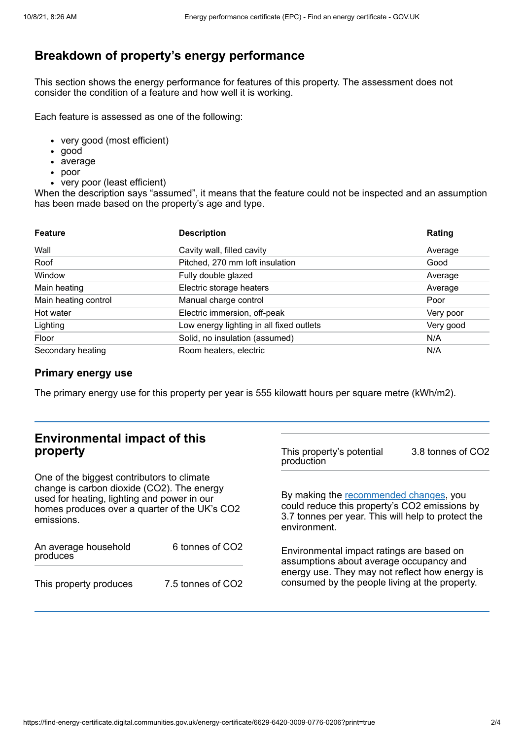# **Breakdown of property's energy performance**

This section shows the energy performance for features of this property. The assessment does not consider the condition of a feature and how well it is working.

Each feature is assessed as one of the following:

- very good (most efficient)
- good
- average
- poor
- very poor (least efficient)

When the description says "assumed", it means that the feature could not be inspected and an assumption has been made based on the property's age and type.

| <b>Feature</b>       | <b>Description</b>                       | Rating    |
|----------------------|------------------------------------------|-----------|
| Wall                 | Cavity wall, filled cavity               | Average   |
| Roof                 | Pitched, 270 mm loft insulation          | Good      |
| Window               | Fully double glazed                      | Average   |
| Main heating         | Electric storage heaters                 | Average   |
| Main heating control | Manual charge control                    | Poor      |
| Hot water            | Electric immersion, off-peak             | Very poor |
| Lighting             | Low energy lighting in all fixed outlets | Very good |
| Floor                | Solid, no insulation (assumed)           | N/A       |
| Secondary heating    | Room heaters, electric                   | N/A       |

### **Primary energy use**

The primary energy use for this property per year is 555 kilowatt hours per square metre (kWh/m2).

| <b>Environmental impact of this</b><br>property                                                                                                                                                        |                   | This property's potential<br>production                                                                                                                                                  | 3.8 tonnes of CO2 |
|--------------------------------------------------------------------------------------------------------------------------------------------------------------------------------------------------------|-------------------|------------------------------------------------------------------------------------------------------------------------------------------------------------------------------------------|-------------------|
| One of the biggest contributors to climate<br>change is carbon dioxide (CO2). The energy<br>used for heating, lighting and power in our<br>homes produces over a quarter of the UK's CO2<br>emissions. |                   | By making the recommended changes, you<br>could reduce this property's CO2 emissions by<br>3.7 tonnes per year. This will help to protect the<br>environment.                            |                   |
| An average household<br>produces                                                                                                                                                                       | 6 tonnes of CO2   | Environmental impact ratings are based on<br>assumptions about average occupancy and<br>energy use. They may not reflect how energy is<br>consumed by the people living at the property. |                   |
| This property produces                                                                                                                                                                                 | 7.5 tonnes of CO2 |                                                                                                                                                                                          |                   |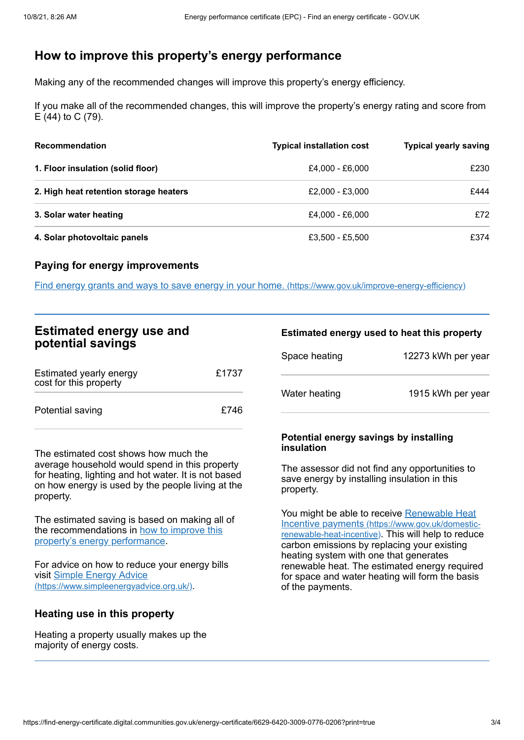## <span id="page-2-0"></span>**How to improve this property's energy performance**

Making any of the recommended changes will improve this property's energy efficiency.

If you make all of the recommended changes, this will improve the property's energy rating and score from E (44) to C (79).

| <b>Recommendation</b>                  | <b>Typical installation cost</b> | <b>Typical yearly saving</b> |
|----------------------------------------|----------------------------------|------------------------------|
| 1. Floor insulation (solid floor)      | £4,000 - £6,000                  | £230                         |
| 2. High heat retention storage heaters | £2,000 - £3,000                  | £444                         |
| 3. Solar water heating                 | £4,000 - £6,000                  | £72                          |
| 4. Solar photovoltaic panels           | £3,500 - £5,500                  | £374                         |

#### **Paying for energy improvements**

Find energy grants and ways to save energy in your home. [\(https://www.gov.uk/improve-energy-efficiency\)](https://www.gov.uk/improve-energy-efficiency)

| <b>Estimated energy use and</b><br>potential savings |       | Estimated energy used to heat this property          |                    |
|------------------------------------------------------|-------|------------------------------------------------------|--------------------|
|                                                      |       | Space heating                                        | 12273 kWh per year |
| Estimated yearly energy<br>cost for this property    | £1737 |                                                      |                    |
|                                                      |       | Water heating                                        | 1915 kWh per year  |
| Potential saving                                     | £746  |                                                      |                    |
|                                                      |       | Potential energy savings by installing<br>insulation |                    |

The estimated cost shows how much the average household would spend in this property for heating, lighting and hot water. It is not based on how energy is used by the people living at the property.

The estimated saving is based on making all of the [recommendations](#page-2-0) in how to improve this property's energy performance.

For advice on how to reduce your energy bills visit Simple Energy Advice [\(https://www.simpleenergyadvice.org.uk/\)](https://www.simpleenergyadvice.org.uk/).

#### **Heating use in this property**

Heating a property usually makes up the majority of energy costs.

#### The assessor did not find any opportunities to save energy by installing insulation in this property.

You might be able to receive Renewable Heat Incentive payments [\(https://www.gov.uk/domestic](https://www.gov.uk/domestic-renewable-heat-incentive)renewable-heat-incentive). This will help to reduce carbon emissions by replacing your existing heating system with one that generates renewable heat. The estimated energy required for space and water heating will form the basis of the payments.